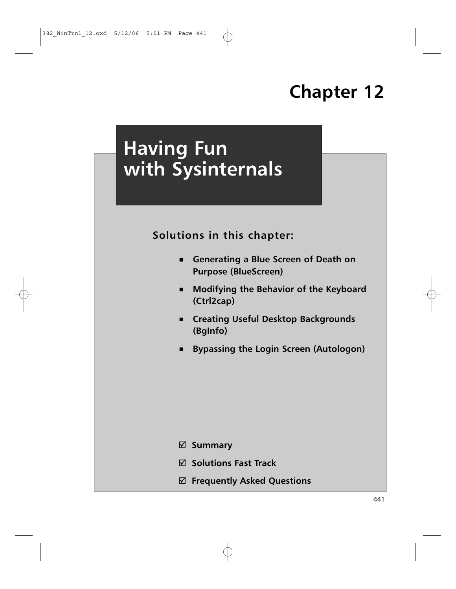# **Chapter 12**

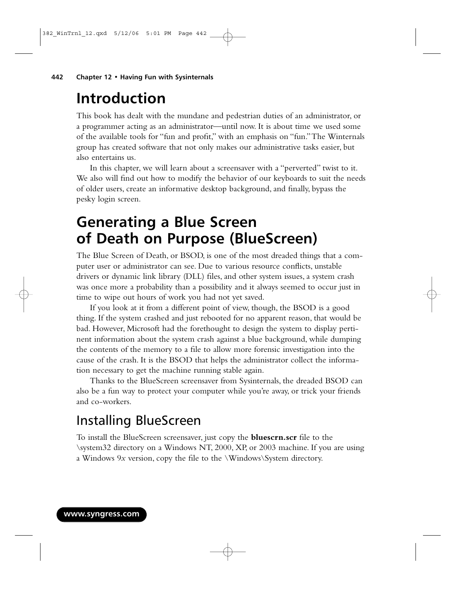## **Introduction**

This book has dealt with the mundane and pedestrian duties of an administrator, or a programmer acting as an administrator—until now. It is about time we used some of the available tools for "fun and profit," with an emphasis on "fun."The Winternals group has created software that not only makes our administrative tasks easier, but also entertains us.

In this chapter, we will learn about a screensaver with a "perverted" twist to it. We also will find out how to modify the behavior of our keyboards to suit the needs of older users, create an informative desktop background, and finally, bypass the pesky login screen.

## **Generating a Blue Screen of Death on Purpose (BlueScreen)**

The Blue Screen of Death, or BSOD, is one of the most dreaded things that a computer user or administrator can see. Due to various resource conflicts, unstable drivers or dynamic link library (DLL) files, and other system issues, a system crash was once more a probability than a possibility and it always seemed to occur just in time to wipe out hours of work you had not yet saved.

If you look at it from a different point of view, though, the BSOD is a good thing. If the system crashed and just rebooted for no apparent reason, that would be bad. However, Microsoft had the forethought to design the system to display pertinent information about the system crash against a blue background, while dumping the contents of the memory to a file to allow more forensic investigation into the cause of the crash. It is the BSOD that helps the administrator collect the information necessary to get the machine running stable again.

Thanks to the BlueScreen screensaver from Sysinternals, the dreaded BSOD can also be a fun way to protect your computer while you're away, or trick your friends and co-workers.

## Installing BlueScreen

To install the BlueScreen screensaver, just copy the **bluescrn.scr** file to the \system32 directory on a Windows NT, 2000, XP, or 2003 machine. If you are using a Windows 9*x* version, copy the file to the \Windows\System directory.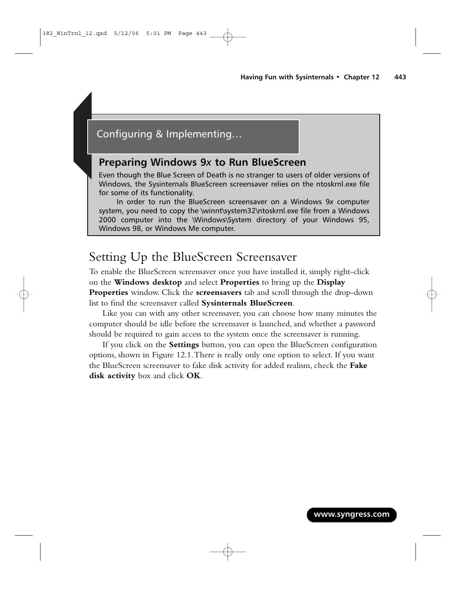#### Configuring & Implementing…

#### **Preparing Windows 9***x* **to Run BlueScreen**

Even though the Blue Screen of Death is no stranger to users of older versions of Windows, the Sysinternals BlueScreen screensaver relies on the ntoskrnl.exe file for some of its functionality.

In order to run the BlueScreen screensaver on a Windows 9*x* computer system, you need to copy the \winnt\system32\ntoskrnl.exe file from a Windows 2000 computer into the \Windows\System directory of your Windows 95, Windows 98, or Windows Me computer.

### Setting Up the BlueScreen Screensaver

To enable the BlueScreen screensaver once you have installed it, simply right-click on the **Windows desktop** and select **Properties** to bring up the **Display Properties** window. Click the **screensavers** tab and scroll through the drop-down list to find the screensaver called **Sysinternals BlueScreen**.

Like you can with any other screensaver, you can choose how many minutes the computer should be idle before the screensaver is launched, and whether a password should be required to gain access to the system once the screensaver is running.

If you click on the **Settings** button, you can open the BlueScreen configuration options, shown in Figure 12.1.There is really only one option to select. If you want the BlueScreen screensaver to fake disk activity for added realism, check the **Fake disk activity** box and click **OK**.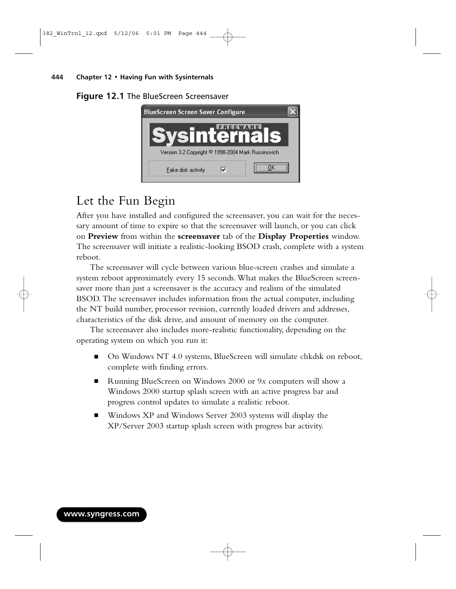**Figure 12.1** The BlueScreen Screensaver



### Let the Fun Begin

After you have installed and configured the screensaver, you can wait for the necessary amount of time to expire so that the screensaver will launch, or you can click on **Preview** from within the **screensaver** tab of the **Display Properties** window. The screensaver will initiate a realistic-looking BSOD crash, complete with a system reboot.

The screensaver will cycle between various blue-screen crashes and simulate a system reboot approximately every 15 seconds. What makes the BlueScreen screensaver more than just a screensaver is the accuracy and realism of the simulated BSOD. The screensaver includes information from the actual computer, including the NT build number, processor revision, currently loaded drivers and addresses, characteristics of the disk drive, and amount of memory on the computer.

The screensaver also includes more-realistic functionality, depending on the operating system on which you run it:

- On Windows NT 4.0 systems, BlueScreen will simulate chkdsk on reboot, complete with finding errors.
- Running BlueScreen on Windows 2000 or 9x computers will show a Windows 2000 startup splash screen with an active progress bar and progress control updates to simulate a realistic reboot.
- Windows XP and Windows Server 2003 systems will display the XP/Server 2003 startup splash screen with progress bar activity.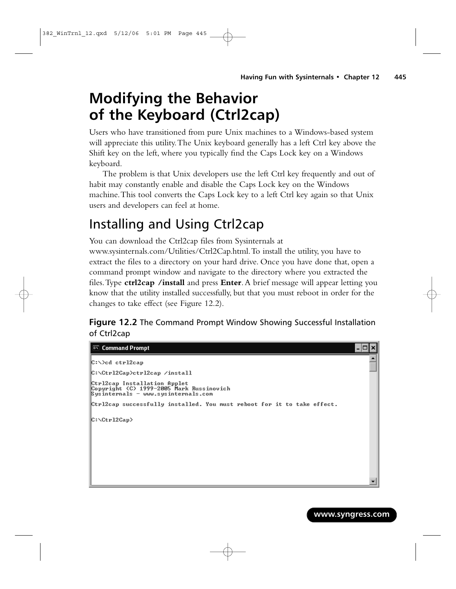## **Modifying the Behavior of the Keyboard (Ctrl2cap)**

Users who have transitioned from pure Unix machines to a Windows-based system will appreciate this utility.The Unix keyboard generally has a left Ctrl key above the Shift key on the left, where you typically find the Caps Lock key on a Windows keyboard.

The problem is that Unix developers use the left Ctrl key frequently and out of habit may constantly enable and disable the Caps Lock key on the Windows machine.This tool converts the Caps Lock key to a left Ctrl key again so that Unix users and developers can feel at home.

## Installing and Using Ctrl2cap

You can download the Ctrl2cap files from Sysinternals at www.sysinternals.com/Utilities/Ctrl2Cap.html.To install the utility, you have to extract the files to a directory on your hard drive. Once you have done that, open a command prompt window and navigate to the directory where you extracted the files.Type **ctrl2cap /install** and press **Enter**.A brief message will appear letting you know that the utility installed successfully, but that you must reboot in order for the changes to take effect (see Figure 12.2).

#### **Figure 12.2** The Command Prompt Window Showing Successful Installation of Ctrl2cap

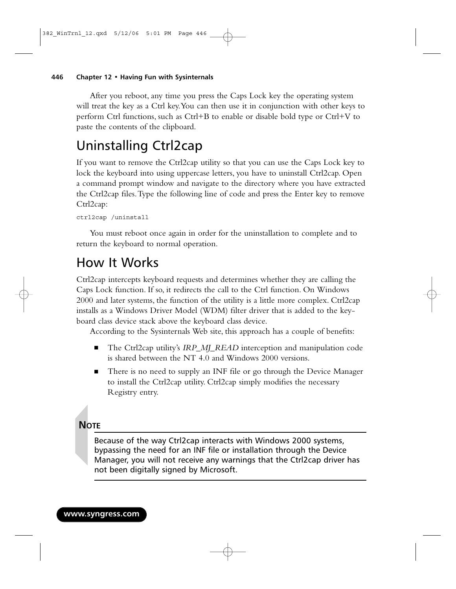After you reboot, any time you press the Caps Lock key the operating system will treat the key as a Ctrl key.You can then use it in conjunction with other keys to perform Ctrl functions, such as Ctrl+B to enable or disable bold type or Ctrl+V to paste the contents of the clipboard.

### Uninstalling Ctrl2cap

If you want to remove the Ctrl2cap utility so that you can use the Caps Lock key to lock the keyboard into using uppercase letters, you have to uninstall Ctrl2cap. Open a command prompt window and navigate to the directory where you have extracted the Ctrl2cap files.Type the following line of code and press the Enter key to remove Ctrl2cap:

ctrl2cap /uninstall

You must reboot once again in order for the uninstallation to complete and to return the keyboard to normal operation.

### How It Works

Ctrl2cap intercepts keyboard requests and determines whether they are calling the Caps Lock function. If so, it redirects the call to the Ctrl function. On Windows 2000 and later systems, the function of the utility is a little more complex. Ctrl2cap installs as a Windows Driver Model (WDM) filter driver that is added to the keyboard class device stack above the keyboard class device.

According to the Sysinternals Web site, this approach has a couple of benefits:

- The Ctrl2cap utility's *IRP\_MJ\_READ* interception and manipulation code is shared between the NT 4.0 and Windows 2000 versions.
- There is no need to supply an INF file or go through the Device Manager to install the Ctrl2cap utility. Ctrl2cap simply modifies the necessary Registry entry.

#### **NOTE**

Because of the way Ctrl2cap interacts with Windows 2000 systems, bypassing the need for an INF file or installation through the Device Manager, you will not receive any warnings that the Ctrl2cap driver has not been digitally signed by Microsoft.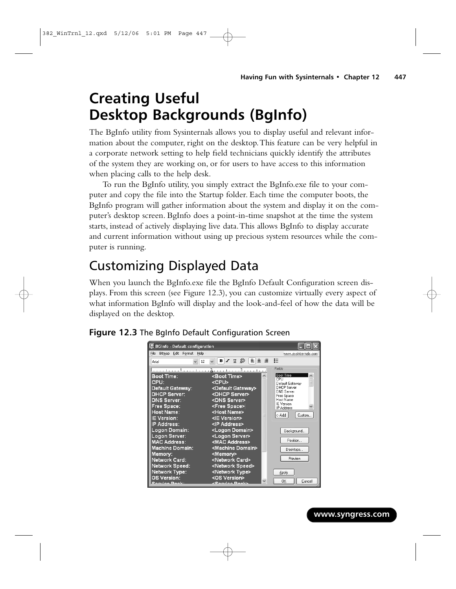## **Creating Useful Desktop Backgrounds (BgInfo)**

The BgInfo utility from Sysinternals allows you to display useful and relevant information about the computer, right on the desktop.This feature can be very helpful in a corporate network setting to help field technicians quickly identify the attributes of the system they are working on, or for users to have access to this information when placing calls to the help desk.

To run the BgInfo utility, you simply extract the BgInfo.exe file to your computer and copy the file into the Startup folder. Each time the computer boots, the BgInfo program will gather information about the system and display it on the computer's desktop screen. BgInfo does a point-in-time snapshot at the time the system starts, instead of actively displaying live data.This allows BgInfo to display accurate and current information without using up precious system resources while the computer is running.

## Customizing Displayed Data

When you launch the BgInfo.exe file the BgInfo Default Configuration screen displays. From this screen (see Figure 12.3), you can customize virtually every aspect of what information BgInfo will display and the look-and-feel of how the data will be displayed on the desktop.

#### **Figure 12.3** The BgInfo Default Configuration Screen

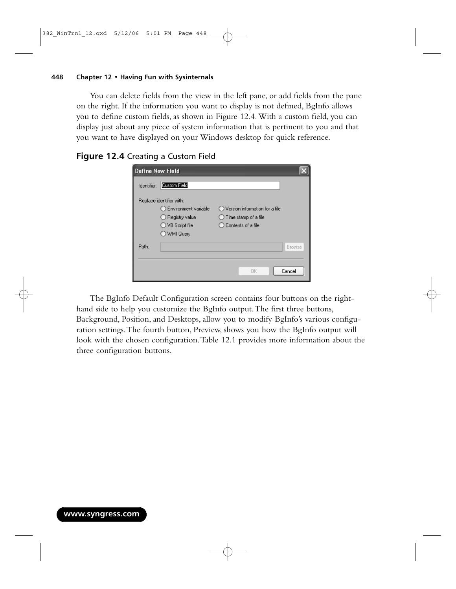You can delete fields from the view in the left pane, or add fields from the pane on the right. If the information you want to display is not defined, BgInfo allows you to define custom fields, as shown in Figure 12.4. With a custom field, you can display just about any piece of system information that is pertinent to you and that you want to have displayed on your Windows desktop for quick reference.

#### **Figure 12.4** Creating a Custom Field

| <b>Define New Field</b>  |                      |                                           |        |  |  |
|--------------------------|----------------------|-------------------------------------------|--------|--|--|
| Identifier:              | Custom Field         |                                           |        |  |  |
| Replace identifier with: |                      |                                           |        |  |  |
|                          | Environment variable | $\bigcirc$ Version information for a file |        |  |  |
|                          | ◯ Registry value     | ◯ Time stamp of a file                    |        |  |  |
|                          | ◯ VB Script file     | Contents of a file                        |        |  |  |
|                          | WMI Query            |                                           |        |  |  |
| Path:                    |                      |                                           | Browse |  |  |
|                          |                      |                                           |        |  |  |
|                          |                      | ОK                                        | Cancel |  |  |

The BgInfo Default Configuration screen contains four buttons on the righthand side to help you customize the BgInfo output.The first three buttons, Background, Position, and Desktops, allow you to modify BgInfo's various configuration settings.The fourth button, Preview, shows you how the BgInfo output will look with the chosen configuration.Table 12.1 provides more information about the three configuration buttons.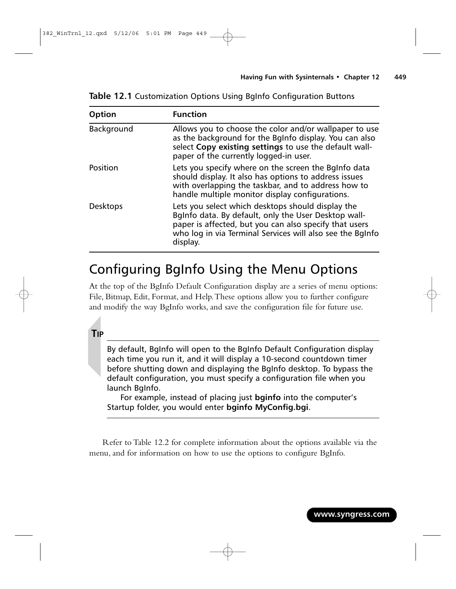| Option          | <b>Function</b>                                                                                                                                                                                                                              |  |
|-----------------|----------------------------------------------------------------------------------------------------------------------------------------------------------------------------------------------------------------------------------------------|--|
| Background      | Allows you to choose the color and/or wallpaper to use<br>as the background for the BgInfo display. You can also<br>select Copy existing settings to use the default wall-<br>paper of the currently logged-in user.                         |  |
| Position        | Lets you specify where on the screen the Bglnfo data<br>should display. It also has options to address issues<br>with overlapping the taskbar, and to address how to<br>handle multiple monitor display configurations.                      |  |
| <b>Desktops</b> | Lets you select which desktops should display the<br>BgInfo data. By default, only the User Desktop wall-<br>paper is affected, but you can also specify that users<br>who log in via Terminal Services will also see the BgInfo<br>display. |  |

**Table 12.1** Customization Options Using BgInfo Configuration Buttons

### Configuring BgInfo Using the Menu Options

At the top of the BgInfo Default Configuration display are a series of menu options: File, Bitmap, Edit, Format, and Help.These options allow you to further configure and modify the way BgInfo works, and save the configuration file for future use.

#### **TIP**

By default, BgInfo will open to the BgInfo Default Configuration display each time you run it, and it will display a 10-second countdown timer before shutting down and displaying the BgInfo desktop. To bypass the default configuration, you must specify a configuration file when you launch BgInfo.

For example, instead of placing just **bginfo** into the computer's Startup folder, you would enter **bginfo MyConfig.bgi**.

Refer to Table 12.2 for complete information about the options available via the menu, and for information on how to use the options to configure BgInfo.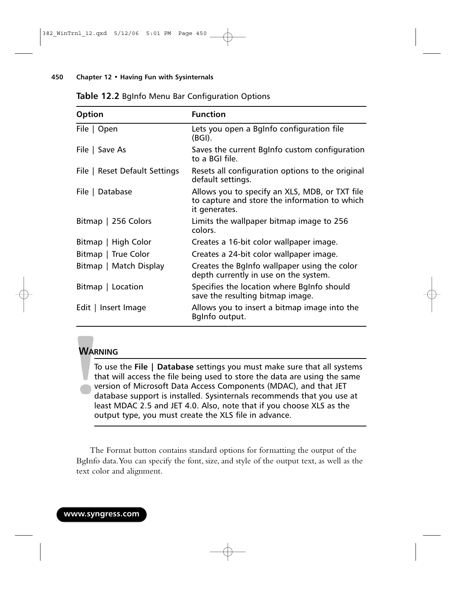| <b>Option</b>                 | <b>Function</b>                                                                                                  |
|-------------------------------|------------------------------------------------------------------------------------------------------------------|
| File   Open                   | Lets you open a BgInfo configuration file<br>(BGI).                                                              |
| File   Save As                | Saves the current BgInfo custom configuration<br>to a BGI file.                                                  |
| File   Reset Default Settings | Resets all configuration options to the original<br>default settings.                                            |
| File   Database               | Allows you to specify an XLS, MDB, or TXT file<br>to capture and store the information to which<br>it generates. |
| Bitmap   256 Colors           | Limits the wallpaper bitmap image to 256<br>colors.                                                              |
| Bitmap   High Color           | Creates a 16-bit color wallpaper image.                                                                          |
| Bitmap   True Color           | Creates a 24-bit color wallpaper image.                                                                          |
| Bitmap   Match Display        | Creates the Bglnfo wallpaper using the color<br>depth currently in use on the system.                            |
| Bitmap   Location             | Specifies the location where BgInfo should<br>save the resulting bitmap image.                                   |
| Edit   Insert Image           | Allows you to insert a bitmap image into the<br>BgInfo output.                                                   |

**Table 12.2** BgInfo Menu Bar Configuration Options

#### **WARNING**

To use the **File | Database** settings you must make sure that all systems that will access the file being used to store the data are using the same version of Microsoft Data Access Components (MDAC), and that JET database support is installed. Sysinternals recommends that you use at least MDAC 2.5 and JET 4.0. Also, note that if you choose XLS as the output type, you must create the XLS file in advance.

The Format button contains standard options for formatting the output of the BgInfo data.You can specify the font, size, and style of the output text, as well as the text color and alignment.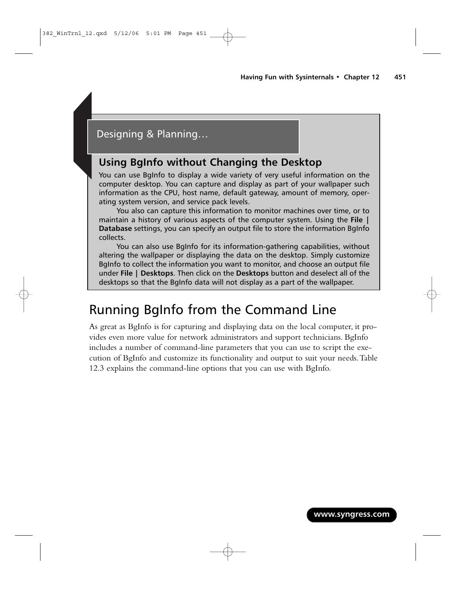#### Designing & Planning…

#### **Using BgInfo without Changing the Desktop**

You can use BgInfo to display a wide variety of very useful information on the computer desktop. You can capture and display as part of your wallpaper such information as the CPU, host name, default gateway, amount of memory, operating system version, and service pack levels.

You also can capture this information to monitor machines over time, or to maintain a history of various aspects of the computer system. Using the **File | Database** settings, you can specify an output file to store the information BgInfo collects.

You can also use BgInfo for its information-gathering capabilities, without altering the wallpaper or displaying the data on the desktop. Simply customize BgInfo to collect the information you want to monitor, and choose an output file under **File | Desktops**. Then click on the **Desktops** button and deselect all of the desktops so that the BgInfo data will not display as a part of the wallpaper.

### Running BgInfo from the Command Line

As great as BgInfo is for capturing and displaying data on the local computer, it provides even more value for network administrators and support technicians. BgInfo includes a number of command-line parameters that you can use to script the execution of BgInfo and customize its functionality and output to suit your needs.Table 12.3 explains the command-line options that you can use with BgInfo.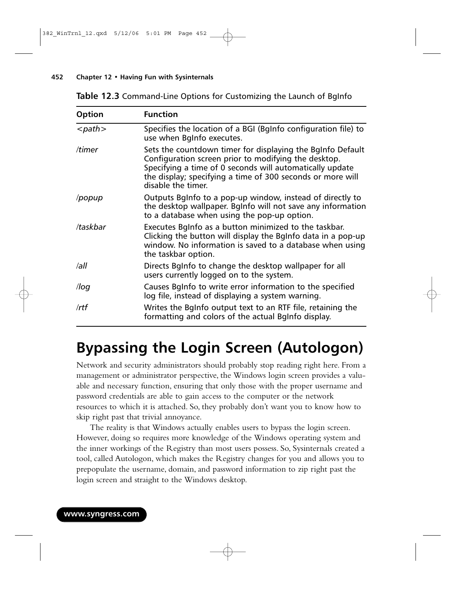| <b>Option</b> | <b>Function</b><br>Specifies the location of a BGI (BgInfo configuration file) to<br>use when BgInfo executes.                                                                                                                                                     |  |
|---------------|--------------------------------------------------------------------------------------------------------------------------------------------------------------------------------------------------------------------------------------------------------------------|--|
| $<$ path $>$  |                                                                                                                                                                                                                                                                    |  |
| /timer        | Sets the countdown timer for displaying the BgInfo Default<br>Configuration screen prior to modifying the desktop.<br>Specifying a time of 0 seconds will automatically update<br>the display; specifying a time of 300 seconds or more will<br>disable the timer. |  |
| /popup        | Outputs BgInfo to a pop-up window, instead of directly to<br>the desktop wallpaper. BgInfo will not save any information<br>to a database when using the pop-up option.                                                                                            |  |
| /taskbar      | Executes BgInfo as a button minimized to the taskbar.<br>Clicking the button will display the BgInfo data in a pop-up<br>window. No information is saved to a database when using<br>the taskbar option.                                                           |  |
| /all          | Directs BgInfo to change the desktop wallpaper for all<br>users currently logged on to the system.                                                                                                                                                                 |  |
| $\log$        | Causes BgInfo to write error information to the specified<br>log file, instead of displaying a system warning.                                                                                                                                                     |  |
| /rtf          | Writes the BgInfo output text to an RTF file, retaining the<br>formatting and colors of the actual BgInfo display.                                                                                                                                                 |  |

**Table 12.3** Command-Line Options for Customizing the Launch of BgInfo

## **Bypassing the Login Screen (Autologon)**

Network and security administrators should probably stop reading right here. From a management or administrator perspective, the Windows login screen provides a valuable and necessary function, ensuring that only those with the proper username and password credentials are able to gain access to the computer or the network resources to which it is attached. So, they probably don't want you to know how to skip right past that trivial annoyance.

The reality is that Windows actually enables users to bypass the login screen. However, doing so requires more knowledge of the Windows operating system and the inner workings of the Registry than most users possess. So, Sysinternals created a tool, called Autologon, which makes the Registry changes for you and allows you to prepopulate the username, domain, and password information to zip right past the login screen and straight to the Windows desktop.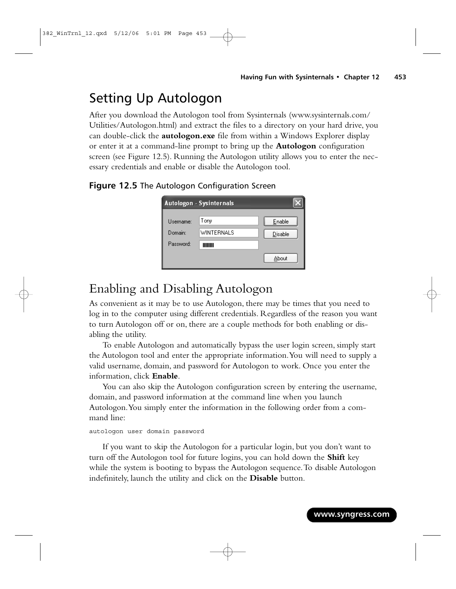### Setting Up Autologon

After you download the Autologon tool from Sysinternals (www.sysinternals.com/ Utilities/Autologon.html) and extract the files to a directory on your hard drive, you can double-click the **autologon.exe** file from within a Windows Explorer display or enter it at a command-line prompt to bring up the **Autologon** configuration screen (see Figure 12.5). Running the Autologon utility allows you to enter the necessary credentials and enable or disable the Autologon tool.

#### **Figure 12.5** The Autologon Configuration Screen

|           | Autologon - Sysinternals |         |
|-----------|--------------------------|---------|
| Username: | Tony                     | Enable  |
| Domain:   | <b>WINTERNALS</b>        | Disable |
| Password: | 11111111                 |         |
|           |                          |         |
|           |                          | About   |

### Enabling and Disabling Autologon

As convenient as it may be to use Autologon, there may be times that you need to log in to the computer using different credentials. Regardless of the reason you want to turn Autologon off or on, there are a couple methods for both enabling or disabling the utility.

To enable Autologon and automatically bypass the user login screen, simply start the Autologon tool and enter the appropriate information.You will need to supply a valid username, domain, and password for Autologon to work. Once you enter the information, click **Enable**.

You can also skip the Autologon configuration screen by entering the username, domain, and password information at the command line when you launch Autologon.You simply enter the information in the following order from a command line:

```
autologon user domain password
```
If you want to skip the Autologon for a particular login, but you don't want to turn off the Autologon tool for future logins, you can hold down the **Shift** key while the system is booting to bypass the Autologon sequence.To disable Autologon indefinitely, launch the utility and click on the **Disable** button.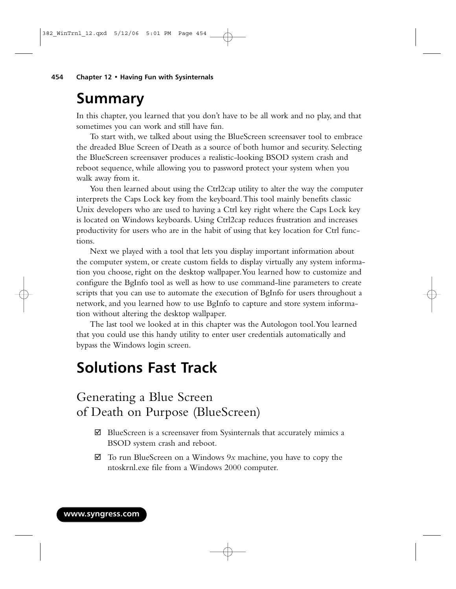### **Summary**

In this chapter, you learned that you don't have to be all work and no play, and that sometimes you can work and still have fun.

To start with, we talked about using the BlueScreen screensaver tool to embrace the dreaded Blue Screen of Death as a source of both humor and security. Selecting the BlueScreen screensaver produces a realistic-looking BSOD system crash and reboot sequence, while allowing you to password protect your system when you walk away from it.

You then learned about using the Ctrl2cap utility to alter the way the computer interprets the Caps Lock key from the keyboard.This tool mainly benefits classic Unix developers who are used to having a Ctrl key right where the Caps Lock key is located on Windows keyboards. Using Ctrl2cap reduces frustration and increases productivity for users who are in the habit of using that key location for Ctrl functions.

Next we played with a tool that lets you display important information about the computer system, or create custom fields to display virtually any system information you choose, right on the desktop wallpaper.You learned how to customize and configure the BgInfo tool as well as how to use command-line parameters to create scripts that you can use to automate the execution of BgInfo for users throughout a network, and you learned how to use BgInfo to capture and store system information without altering the desktop wallpaper.

The last tool we looked at in this chapter was the Autologon tool.You learned that you could use this handy utility to enter user credentials automatically and bypass the Windows login screen.

## **Solutions Fast Track**

### Generating a Blue Screen of Death on Purpose (BlueScreen)

- $\boxtimes$  BlueScreen is a screensaver from Sysinternals that accurately mimics a BSOD system crash and reboot.
- To run BlueScreen on a Windows 9*x* machine, you have to copy the ntoskrnl.exe file from a Windows 2000 computer.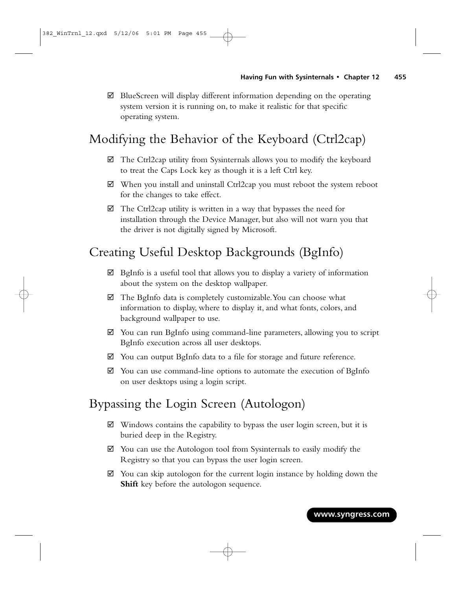BlueScreen will display different information depending on the operating system version it is running on, to make it realistic for that specific operating system.

### Modifying the Behavior of the Keyboard (Ctrl2cap)

- $\boxtimes$  The Ctrl2cap utility from Sysinternals allows you to modify the keyboard to treat the Caps Lock key as though it is a left Ctrl key.
- $\boxtimes$  When you install and uninstall Ctrl2cap you must reboot the system reboot for the changes to take effect.
- $\boxtimes$  The Ctrl2cap utility is written in a way that bypasses the need for installation through the Device Manager, but also will not warn you that the driver is not digitally signed by Microsoft.

### Creating Useful Desktop Backgrounds (BgInfo)

- $\boxtimes$  BgInfo is a useful tool that allows you to display a variety of information about the system on the desktop wallpaper.
- $\boxtimes$  The BgInfo data is completely customizable. You can choose what information to display, where to display it, and what fonts, colors, and background wallpaper to use.
- ⊠ You can run BgInfo using command-line parameters, allowing you to script BgInfo execution across all user desktops.
- $\boxtimes$  You can output BgInfo data to a file for storage and future reference.
- $\boxtimes$  You can use command-line options to automate the execution of BgInfo on user desktops using a login script.

#### Bypassing the Login Screen (Autologon)

- $\boxtimes$  Windows contains the capability to bypass the user login screen, but it is buried deep in the Registry.
- $\boxtimes$  You can use the Autologon tool from Sysinternals to easily modify the Registry so that you can bypass the user login screen.
- $\boxtimes$  You can skip autologon for the current login instance by holding down the **Shift** key before the autologon sequence.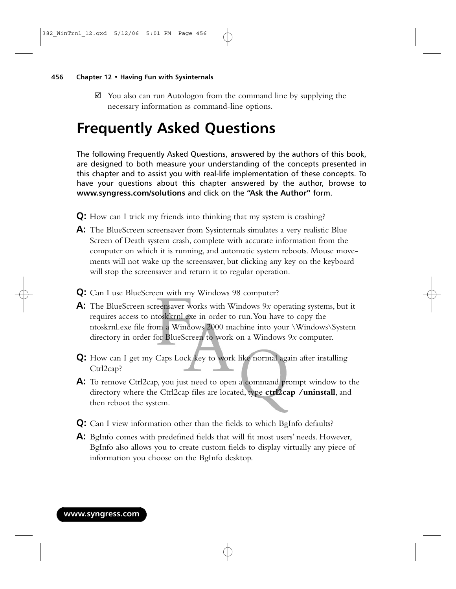⊠ You also can run Autologon from the command line by supplying the necessary information as command-line options.

## **Frequently Asked Questions**

The following Frequently Asked Questions, answered by the authors of this book, are designed to both measure your understanding of the concepts presented in this chapter and to assist you with real-life implementation of these concepts. To have your questions about this chapter answered by the author, browse to **www.syngress.com/solutions** and click on the **"Ask the Author"** form.

- **Q:** How can I trick my friends into thinking that my system is crashing?
- **A:** The BlueScreen screensaver from Sysinternals simulates a very realistic Blue Screen of Death system crash, complete with accurate information from the computer on which it is running, and automatic system reboots. Mouse movements will not wake up the screensaver, but clicking any key on the keyboard will stop the screensaver and return it to regular operation.
- **Q:** Can I use BlueScreen with my Windows 98 computer?
- **A:** The BlueScreen screensaver works with Windows 9*x* operating systems, but it requires access to ntoskkrnl.exe in order to run.You have to copy the ntoskrnl.exe file from a Windows 2000 machine into your \Windows\System directory in order for BlueScreen to work on a Windows 9*x* computer.
- **Q:** How can I get my Caps Lock key to work like normal again after installing Ctrl2cap?
- **A:** To remove Ctrl2cap, you just need to open a command prompt window to the directory where the Ctrl2cap files are located, type **ctrl2cap /uninstall**, and then reboot the system.
- **Q:** Can I view information other than the fields to which BgInfo defaults?
- **A:** BgInfo comes with predefined fields that will fit most users' needs. However, BgInfo also allows you to create custom fields to display virtually any piece of information you choose on the BgInfo desktop.